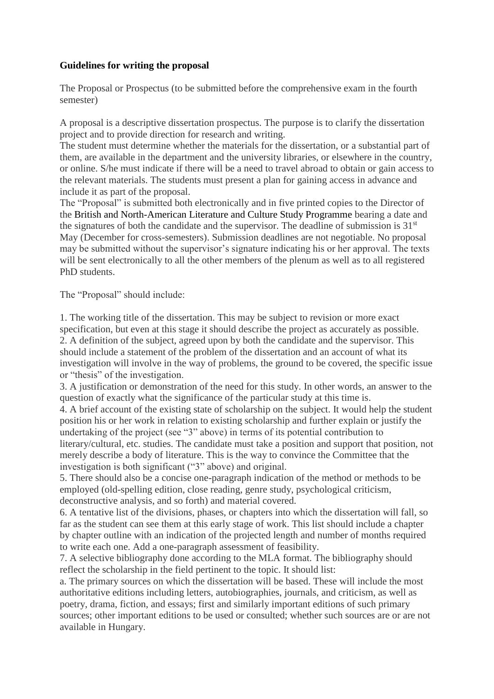## **Guidelines for writing the proposal**

The Proposal or Prospectus (to be submitted before the comprehensive exam in the fourth semester)

A proposal is a descriptive dissertation prospectus. The purpose is to clarify the dissertation project and to provide direction for research and writing.

The student must determine whether the materials for the dissertation, or a substantial part of them, are available in the department and the university libraries, or elsewhere in the country, or online. S/he must indicate if there will be a need to travel abroad to obtain or gain access to the relevant materials. The students must present a plan for gaining access in advance and include it as part of the proposal.

The "Proposal" is submitted both electronically and in five printed copies to the Director of the British and North-American Literature and Culture Study Programme bearing a date and the signatures of both the candidate and the supervisor. The deadline of submission is  $31<sup>st</sup>$ May (December for cross-semesters). Submission deadlines are not negotiable. No proposal may be submitted without the supervisor's signature indicating his or her approval. The texts will be sent electronically to all the other members of the plenum as well as to all registered PhD students.

The "Proposal" should include:

1. The working title of the dissertation. This may be subject to revision or more exact specification, but even at this stage it should describe the project as accurately as possible. 2. A definition of the subject, agreed upon by both the candidate and the supervisor. This should include a statement of the problem of the dissertation and an account of what its investigation will involve in the way of problems, the ground to be covered, the specific issue or "thesis" of the investigation.

3. A justification or demonstration of the need for this study. In other words, an answer to the question of exactly what the significance of the particular study at this time is.

4. A brief account of the existing state of scholarship on the subject. It would help the student position his or her work in relation to existing scholarship and further explain or justify the undertaking of the project (see "3" above) in terms of its potential contribution to literary/cultural, etc. studies. The candidate must take a position and support that position, not merely describe a body of literature. This is the way to convince the Committee that the investigation is both significant ("3" above) and original.

5. There should also be a concise one-paragraph indication of the method or methods to be employed (old-spelling edition, close reading, genre study, psychological criticism, deconstructive analysis, and so forth) and material covered.

6. A tentative list of the divisions, phases, or chapters into which the dissertation will fall, so far as the student can see them at this early stage of work. This list should include a chapter by chapter outline with an indication of the projected length and number of months required to write each one. Add a one-paragraph assessment of feasibility.

7. A selective bibliography done according to the MLA format. The bibliography should reflect the scholarship in the field pertinent to the topic. It should list:

a. The primary sources on which the dissertation will be based. These will include the most authoritative editions including letters, autobiographies, journals, and criticism, as well as poetry, drama, fiction, and essays; first and similarly important editions of such primary sources; other important editions to be used or consulted; whether such sources are or are not available in Hungary.